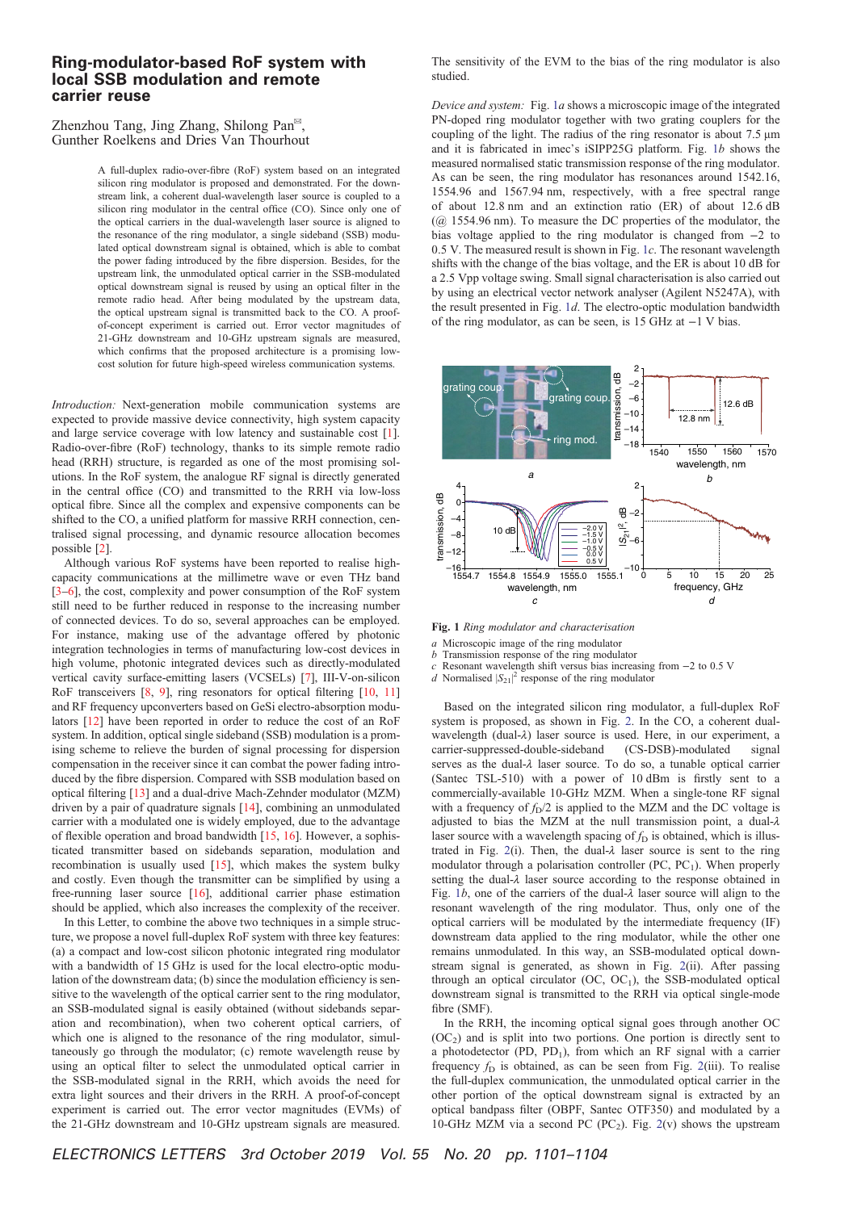## Ring-modulator-based RoF system with local SSB modulation and remote carrier reuse

Zhenzhou Tang, Jing Zhang, Shilong Pan✉, Gunther Roelkens and Dries Van Thourhout

> A full-duplex radio-over-fibre (RoF) system based on an integrated silicon ring modulator is proposed and demonstrated. For the downstream link, a coherent dual-wavelength laser source is coupled to a silicon ring modulator in the central office (CO). Since only one of the optical carriers in the dual-wavelength laser source is aligned to the resonance of the ring modulator, a single sideband (SSB) modulated optical downstream signal is obtained, which is able to combat the power fading introduced by the fibre dispersion. Besides, for the upstream link, the unmodulated optical carrier in the SSB-modulated optical downstream signal is reused by using an optical filter in the remote radio head. After being modulated by the upstream data, the optical upstream signal is transmitted back to the CO. A proofof-concept experiment is carried out. Error vector magnitudes of 21-GHz downstream and 10-GHz upstream signals are measured, which confirms that the proposed architecture is a promising lowcost solution for future high-speed wireless communication systems.

Introduction: Next-generation mobile communication systems are expected to provide massive device connectivity, high system capacity and large service coverage with low latency and sustainable cost [1]. Radio-over-fibre (RoF) technology, thanks to its simple remote radio head (RRH) structure, is regarded as one of the most promising solutions. In the RoF system, the analogue RF signal is directly generated in the central office (CO) and transmitted to the RRH via low-loss optical fibre. Since all the complex and expensive components can be shifted to the CO, a unified platform for massive RRH connection, centralised signal processing, and dynamic resource allocation becomes possible [2].

Although various RoF systems have been reported to realise highcapacity communications at the millimetre wave or even THz band [3–6], the cost, complexity and power consumption of the RoF system still need to be further reduced in response to the increasing number of connected devices. To do so, several approaches can be employed. For instance, making use of the advantage offered by photonic integration technologies in terms of manufacturing low-cost devices in high volume, photonic integrated devices such as directly-modulated vertical cavity surface-emitting lasers (VCSELs) [7], III-V-on-silicon RoF transceivers [8, 9], ring resonators for optical filtering [10, 11] and RF frequency upconverters based on GeSi electro-absorption modulators [12] have been reported in order to reduce the cost of an RoF system. In addition, optical single sideband (SSB) modulation is a promising scheme to relieve the burden of signal processing for dispersion compensation in the receiver since it can combat the power fading introduced by the fibre dispersion. Compared with SSB modulation based on optical filtering [13] and a dual-drive Mach-Zehnder modulator (MZM) driven by a pair of quadrature signals [14], combining an unmodulated carrier with a modulated one is widely employed, due to the advantage of flexible operation and broad bandwidth [15, 16]. However, a sophisticated transmitter based on sidebands separation, modulation and recombination is usually used [15], which makes the system bulky and costly. Even though the transmitter can be simplified by using a free-running laser source [16], additional carrier phase estimation should be applied, which also increases the complexity of the receiver.

In this Letter, to combine the above two techniques in a simple structure, we propose a novel full-duplex RoF system with three key features: (a) a compact and low-cost silicon photonic integrated ring modulator with a bandwidth of 15 GHz is used for the local electro-optic modulation of the downstream data; (b) since the modulation efficiency is sensitive to the wavelength of the optical carrier sent to the ring modulator, an SSB-modulated signal is easily obtained (without sidebands separation and recombination), when two coherent optical carriers, of which one is aligned to the resonance of the ring modulator, simultaneously go through the modulator; (c) remote wavelength reuse by using an optical filter to select the unmodulated optical carrier in the SSB-modulated signal in the RRH, which avoids the need for extra light sources and their drivers in the RRH. A proof-of-concept experiment is carried out. The error vector magnitudes (EVMs) of the 21-GHz downstream and 10-GHz upstream signals are measured.

The sensitivity of the EVM to the bias of the ring modulator is also studied.

Device and system: Fig. 1a shows a microscopic image of the integrated PN-doped ring modulator together with two grating couplers for the coupling of the light. The radius of the ring resonator is about 7.5 μm and it is fabricated in imec's iSIPP25G platform. Fig. 1b shows the measured normalised static transmission response of the ring modulator. As can be seen, the ring modulator has resonances around 1542.16, 1554.96 and 1567.94 nm, respectively, with a free spectral range of about 12.8 nm and an extinction ratio (ER) of about 12.6 dB  $(Q<sub>Q</sub> 1554.96$  nm). To measure the DC properties of the modulator, the bias voltage applied to the ring modulator is changed from −2 to 0.5 V. The measured result is shown in Fig. 1c. The resonant wavelength shifts with the change of the bias voltage, and the ER is about 10 dB for a 2.5 Vpp voltage swing. Small signal characterisation is also carried out by using an electrical vector network analyser (Agilent N5247A), with the result presented in Fig. 1d. The electro-optic modulation bandwidth of the ring modulator, as can be seen, is 15 GHz at −1 V bias.



Fig. 1 Ring modulator and characterisation

a Microscopic image of the ring modulator

- b Transmission response of the ring modulator c Resonant wavelength shift versus bias increasing from −2 to 0.5 V
- d Normalised  $|S_{21}|^2$  response of the ring modulator

Based on the integrated silicon ring modulator, a full-duplex RoF system is proposed, as shown in Fig. 2. In the CO, a coherent dualwavelength (dual-λ) laser source is used. Here, in our experiment, a carrier-suppressed-double-sideband (CS-DSB)-modulated signal serves as the dual-λ laser source. To do so, a tunable optical carrier (Santec TSL-510) with a power of 10 dBm is firstly sent to a commercially-available 10-GHz MZM. When a single-tone RF signal with a frequency of  $f<sub>D</sub>/2$  is applied to the MZM and the DC voltage is adjusted to bias the MZM at the null transmission point, a dual-λ laser source with a wavelength spacing of  $f<sub>D</sub>$  is obtained, which is illustrated in Fig.  $2(i)$ . Then, the dual- $\lambda$  laser source is sent to the ring modulator through a polarisation controller  $(PC, PC_1)$ . When properly setting the dual-λ laser source according to the response obtained in Fig. 1b, one of the carriers of the dual- $\lambda$  laser source will align to the resonant wavelength of the ring modulator. Thus, only one of the optical carriers will be modulated by the intermediate frequency (IF) downstream data applied to the ring modulator, while the other one remains unmodulated. In this way, an SSB-modulated optical downstream signal is generated, as shown in Fig. 2(ii). After passing through an optical circulator  $(OC, OC<sub>1</sub>)$ , the SSB-modulated optical downstream signal is transmitted to the RRH via optical single-mode fibre (SMF).

In the RRH, the incoming optical signal goes through another OC  $(OC<sub>2</sub>)$  and is split into two portions. One portion is directly sent to a photodetector (PD, PD<sub>1</sub>), from which an RF signal with a carrier frequency  $f_D$  is obtained, as can be seen from Fig. 2(iii). To realise the full-duplex communication, the unmodulated optical carrier in the other portion of the optical downstream signal is extracted by an optical bandpass filter (OBPF, Santec OTF350) and modulated by a 10-GHz MZM via a second PC (PC<sub>2</sub>). Fig. 2(v) shows the upstream

ELECTRONICS LETTERS 3rd October 2019 Vol. 55 No. 20 pp. 1101–1104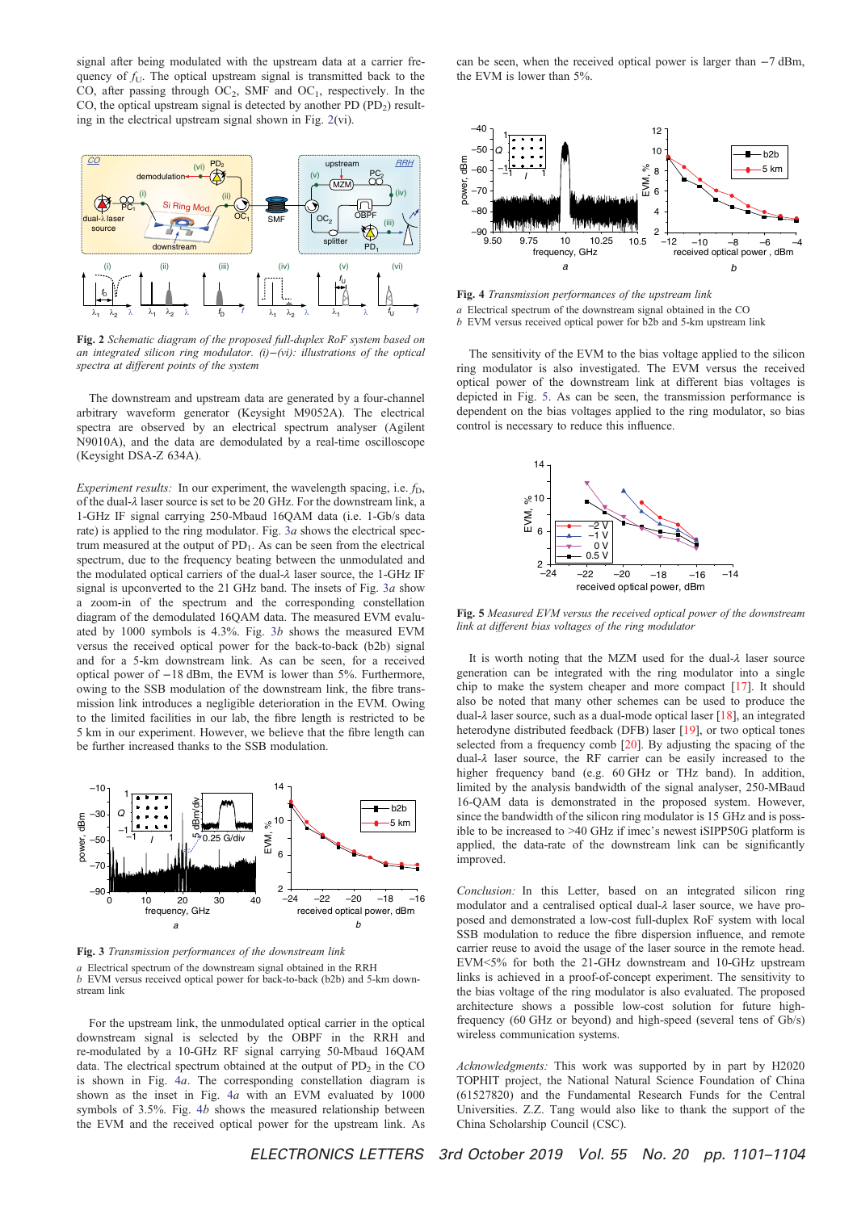signal after being modulated with the upstream data at a carrier frequency of  $f_{U}$ . The optical upstream signal is transmitted back to the CO, after passing through  $OC_2$ , SMF and  $OC_1$ , respectively. In the CO, the optical upstream signal is detected by another PD  $(PD_2)$  resulting in the electrical upstream signal shown in Fig. 2(vi).



Fig. 2 Schematic diagram of the proposed full-duplex RoF system based on an integrated silicon ring modulator. (i)−(vi): illustrations of the optical spectra at different points of the system

The downstream and upstream data are generated by a four-channel arbitrary waveform generator (Keysight M9052A). The electrical spectra are observed by an electrical spectrum analyser (Agilent N9010A), and the data are demodulated by a real-time oscilloscope (Keysight DSA-Z 634A).

Experiment results: In our experiment, the wavelength spacing, i.e.  $f<sub>D</sub>$ , of the dual-λ laser source is set to be 20 GHz. For the downstream link, a 1-GHz IF signal carrying 250-Mbaud 16QAM data (i.e. 1-Gb/s data rate) is applied to the ring modulator. Fig.  $3a$  shows the electrical spectrum measured at the output of  $PD_1$ . As can be seen from the electrical spectrum, due to the frequency beating between the unmodulated and the modulated optical carriers of the dual-λ laser source, the 1-GHz IF signal is upconverted to the 21 GHz band. The insets of Fig. 3a show a zoom-in of the spectrum and the corresponding constellation diagram of the demodulated 16QAM data. The measured EVM evaluated by 1000 symbols is 4.3%. Fig. 3b shows the measured EVM versus the received optical power for the back-to-back (b2b) signal and for a 5-km downstream link. As can be seen, for a received optical power of −18 dBm, the EVM is lower than 5%. Furthermore, owing to the SSB modulation of the downstream link, the fibre transmission link introduces a negligible deterioration in the EVM. Owing to the limited facilities in our lab, the fibre length is restricted to be 5 km in our experiment. However, we believe that the fibre length can be further increased thanks to the SSB modulation.



Fig. 3 Transmission performances of the downstream link a Electrical spectrum of the downstream signal obtained in the RRH b EVM versus received optical power for back-to-back (b2b) and 5-km downstream link

For the upstream link, the unmodulated optical carrier in the optical downstream signal is selected by the OBPF in the RRH and re-modulated by a 10-GHz RF signal carrying 50-Mbaud 16QAM data. The electrical spectrum obtained at the output of  $PD<sub>2</sub>$  in the CO is shown in Fig. 4a. The corresponding constellation diagram is shown as the inset in Fig. 4a with an EVM evaluated by 1000 symbols of 3.5%. Fig. 4b shows the measured relationship between the EVM and the received optical power for the upstream link. As can be seen, when the received optical power is larger than −7 dBm, the EVM is lower than 5%.



Fig. 4 Transmission performances of the upstream link a Electrical spectrum of the downstream signal obtained in the CO  $b$  EVM versus received optical power for b2b and 5-km upstream link

The sensitivity of the EVM to the bias voltage applied to the silicon ring modulator is also investigated. The EVM versus the received optical power of the downstream link at different bias voltages is depicted in Fig. 5. As can be seen, the transmission performance is dependent on the bias voltages applied to the ring modulator, so bias control is necessary to reduce this influence.



Fig. 5 Measured EVM versus the received optical power of the downstream link at different bias voltages of the ring modulator

It is worth noting that the MZM used for the dual-λ laser source generation can be integrated with the ring modulator into a single chip to make the system cheaper and more compact [17]. It should also be noted that many other schemes can be used to produce the dual-λ laser source, such as a dual-mode optical laser [18], an integrated heterodyne distributed feedback (DFB) laser [19], or two optical tones selected from a frequency comb [20]. By adjusting the spacing of the dual-λ laser source, the RF carrier can be easily increased to the higher frequency band (e.g. 60 GHz or THz band). In addition, limited by the analysis bandwidth of the signal analyser, 250-MBaud 16-QAM data is demonstrated in the proposed system. However, since the bandwidth of the silicon ring modulator is 15 GHz and is possible to be increased to >40 GHz if imec's newest iSIPP50G platform is applied, the data-rate of the downstream link can be significantly improved.

Conclusion: In this Letter, based on an integrated silicon ring modulator and a centralised optical dual-λ laser source, we have proposed and demonstrated a low-cost full-duplex RoF system with local SSB modulation to reduce the fibre dispersion influence, and remote carrier reuse to avoid the usage of the laser source in the remote head. EVM<5% for both the 21-GHz downstream and 10-GHz upstream links is achieved in a proof-of-concept experiment. The sensitivity to the bias voltage of the ring modulator is also evaluated. The proposed architecture shows a possible low-cost solution for future highfrequency (60 GHz or beyond) and high-speed (several tens of Gb/s) wireless communication systems.

Acknowledgments: This work was supported by in part by H2020 TOPHIT project, the National Natural Science Foundation of China (61527820) and the Fundamental Research Funds for the Central Universities. Z.Z. Tang would also like to thank the support of the China Scholarship Council (CSC).

ELECTRONICS LETTERS 3rd October 2019 Vol. 55 No. 20 pp. 1101–1104